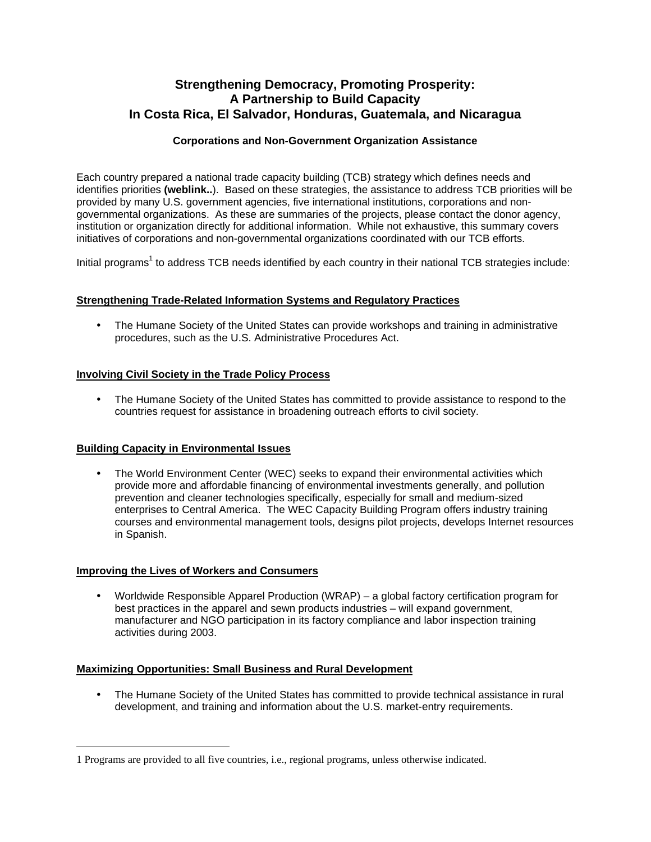# **Strengthening Democracy, Promoting Prosperity: A Partnership to Build Capacity In Costa Rica, El Salvador, Honduras, Guatemala, and Nicaragua**

# **Corporations and Non-Government Organization Assistance**

Each country prepared a national trade capacity building (TCB) strategy which defines needs and identifies priorities **(weblink..**). Based on these strategies, the assistance to address TCB priorities will be provided by many U.S. government agencies, five international institutions, corporations and nongovernmental organizations. As these are summaries of the projects, please contact the donor agency, institution or organization directly for additional information. While not exhaustive, this summary covers initiatives of corporations and non-governmental organizations coordinated with our TCB efforts.

Initial programs<sup>1</sup> to address TCB needs identified by each country in their national TCB strategies include:

## **Strengthening Trade-Related Information Systems and Regulatory Practices**

• The Humane Society of the United States can provide workshops and training in administrative procedures, such as the U.S. Administrative Procedures Act.

## **Involving Civil Society in the Trade Policy Process**

• The Humane Society of the United States has committed to provide assistance to respond to the countries request for assistance in broadening outreach efforts to civil society.

#### **Building Capacity in Environmental Issues**

• The World Environment Center (WEC) seeks to expand their environmental activities which provide more and affordable financing of environmental investments generally, and pollution prevention and cleaner technologies specifically, especially for small and medium-sized enterprises to Central America. The WEC Capacity Building Program offers industry training courses and environmental management tools, designs pilot projects, develops Internet resources in Spanish.

#### **Improving the Lives of Workers and Consumers**

<u>.</u>

• Worldwide Responsible Apparel Production (WRAP) – a global factory certification program for best practices in the apparel and sewn products industries – will expand government, manufacturer and NGO participation in its factory compliance and labor inspection training activities during 2003.

#### **Maximizing Opportunities: Small Business and Rural Development**

• The Humane Society of the United States has committed to provide technical assistance in rural development, and training and information about the U.S. market-entry requirements.

<sup>1</sup> Programs are provided to all five countries, i.e., regional programs, unless otherwise indicated.